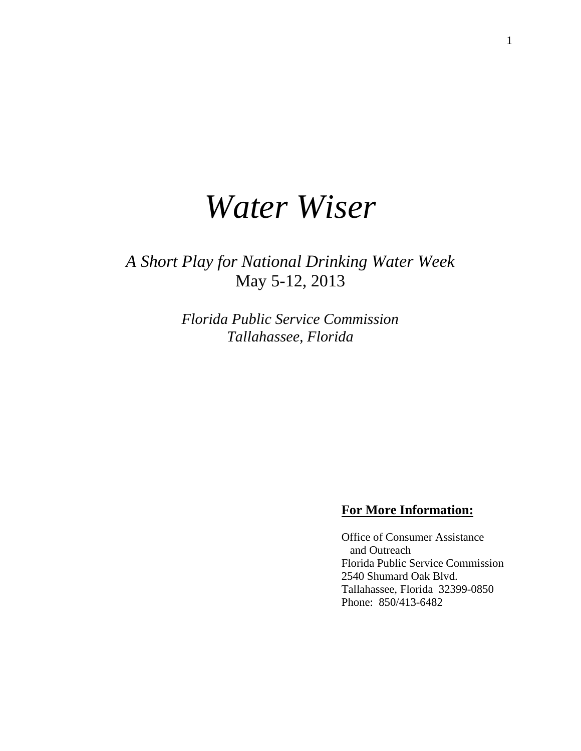# *Water Wiser*

*A Short Play for National Drinking Water Week* May 5-12, 2013

> *Florida Public Service Commission Tallahassee, Florida*

## **For More Information:**

Office of Consumer Assistance and Outreach Florida Public Service Commission 2540 Shumard Oak Blvd. Tallahassee, Florida 32399-0850 Phone: 850/413-6482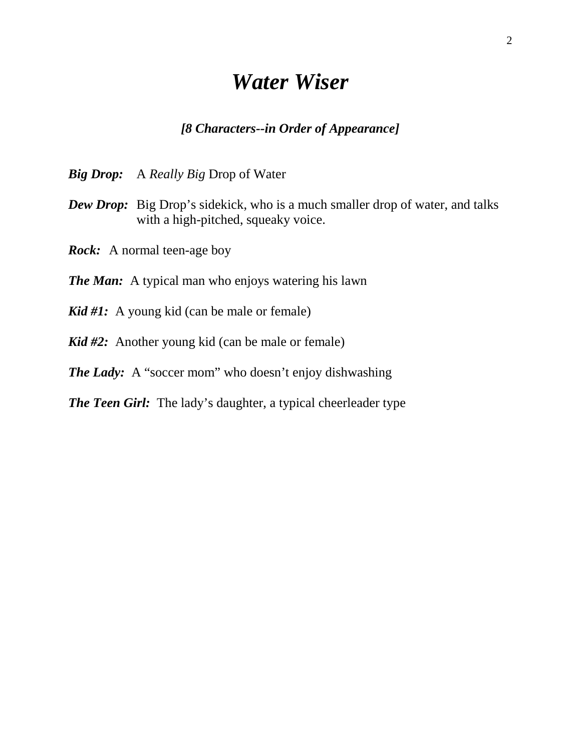## *Water Wiser*

## *[8 Characters--in Order of Appearance]*

*Big Drop:* A *Really Big* Drop of Water

- *Dew Drop:* Big Drop's sidekick, who is a much smaller drop of water, and talks with a high-pitched, squeaky voice.
- *Rock:* A normal teen-age boy
- *The Man:* A typical man who enjoys watering his lawn
- *Kid #1:* A young kid (can be male or female)
- *Kid #2:* Another young kid (can be male or female)
- *The Lady:* A "soccer mom" who doesn't enjoy dishwashing
- *The Teen Girl:* The lady's daughter, a typical cheerleader type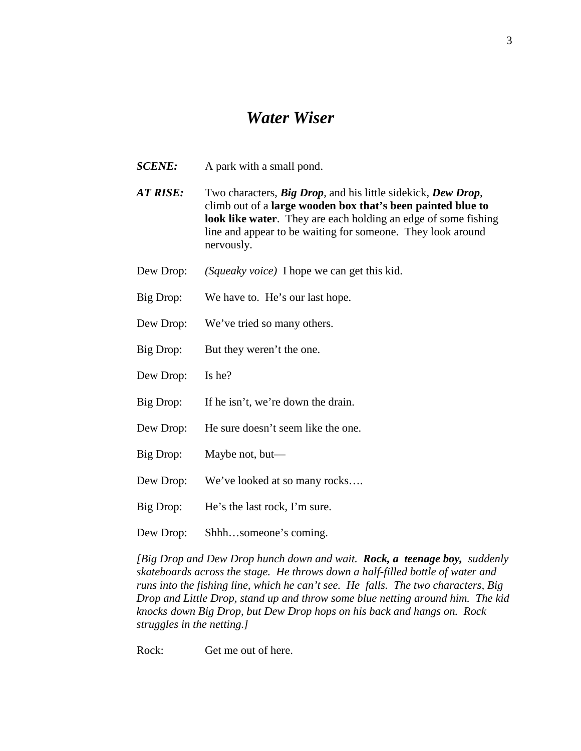## *Water Wiser*

- *SCENE:* A park with a small pond.
- *AT RISE:* Two characters, *Big Drop*, and his little sidekick, *Dew Drop*, climb out of a **large wooden box that's been painted blue to look like water**. They are each holding an edge of some fishing line and appear to be waiting for someone. They look around nervously.
- Dew Drop: *(Squeaky voice)* I hope we can get this kid.
- Big Drop: We have to. He's our last hope.
- Dew Drop: We've tried so many others.
- Big Drop: But they weren't the one.
- Dew Drop: Is he?
- Big Drop: If he isn't, we're down the drain.
- Dew Drop: He sure doesn't seem like the one.
- Big Drop: Maybe not, but—
- Dew Drop: We've looked at so many rocks....
- Big Drop: He's the last rock, I'm sure.
- Dew Drop: Shhh…someone's coming.

*[Big Drop and Dew Drop hunch down and wait. Rock, a teenage boy, suddenly skateboards across the stage. He throws down a half-filled bottle of water and runs into the fishing line, which he can't see. He falls. The two characters, Big Drop and Little Drop, stand up and throw some blue netting around him. The kid knocks down Big Drop, but Dew Drop hops on his back and hangs on. Rock struggles in the netting.]*

Rock: Get me out of here.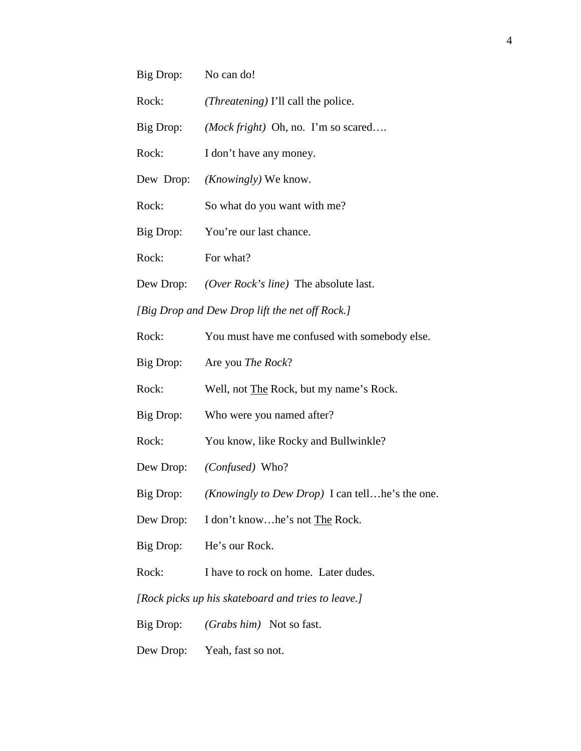| Big Drop: No can do! |                                                                   |
|----------------------|-------------------------------------------------------------------|
| Rock:                | <i>(Threatening)</i> I'll call the police.                        |
| Big Drop:            | ( <i>Mock fright</i> ) Oh, no. I'm so scared                      |
| Rock:                | I don't have any money.                                           |
|                      | Dew Drop: <i>(Knowingly)</i> We know.                             |
| Rock:                | So what do you want with me?                                      |
| Big Drop:            | You're our last chance.                                           |
| Rock:                | For what?                                                         |
|                      | Dew Drop: <i>(Over Rock's line)</i> The absolute last.            |
|                      | [Big Drop and Dew Drop lift the net off Rock.]                    |
| Rock:                | You must have me confused with somebody else.                     |
| Big Drop:            | Are you <i>The Rock</i> ?                                         |
| Rock:                | Well, not <b>The Rock</b> , but my name's Rock.                   |
| Big Drop:            | Who were you named after?                                         |
| Rock:                | You know, like Rocky and Bullwinkle?                              |
|                      | Dew Drop: (Confused) Who?                                         |
|                      | Big Drop: <i>(Knowingly to Dew Drop)</i> I can tell he's the one. |
|                      | Dew Drop: I don't knowhe's not The Rock.                          |
|                      | Big Drop: He's our Rock.                                          |
| Rock:                | I have to rock on home. Later dudes.                              |
|                      | [Rock picks up his skateboard and tries to leave.]                |
|                      | Big Drop: <i>(Grabs him)</i> Not so fast.                         |
|                      | Dew Drop: Yeah, fast so not.                                      |
|                      |                                                                   |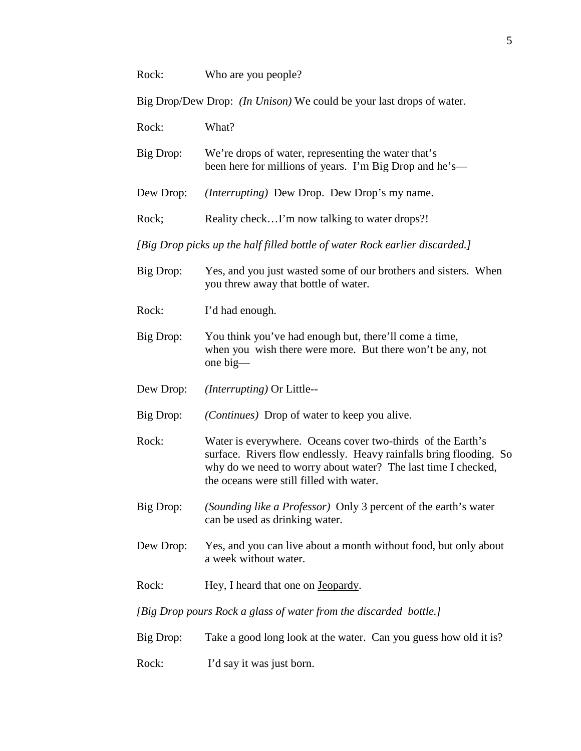Big Drop/Dew Drop: *(In Unison)* We could be your last drops of water.

Rock: What?

Big Drop: We're drops of water, representing the water that's been here for millions of years. I'm Big Drop and he's—

Dew Drop: *(Interrupting)* Dew Drop. Dew Drop's my name.

Rock; Reality check...I'm now talking to water drops?!

*[Big Drop picks up the half filled bottle of water Rock earlier discarded.]*

- Big Drop: Yes, and you just wasted some of our brothers and sisters. When you threw away that bottle of water.
- Rock: I'd had enough.
- Big Drop: You think you've had enough but, there'll come a time, when you wish there were more. But there won't be any, not one big—
- Dew Drop: *(Interrupting)* Or Little--
- Big Drop: *(Continues)* Drop of water to keep you alive.
- Rock: Water is everywhere. Oceans cover two-thirds of the Earth's surface. Rivers flow endlessly. Heavy rainfalls bring flooding. So why do we need to worry about water? The last time I checked, the oceans were still filled with water.
- Big Drop: *(Sounding like a Professor)* Only 3 percent of the earth's water can be used as drinking water.
- Dew Drop: Yes, and you can live about a month without food, but only about a week without water.
- Rock: Hey, I heard that one on Jeopardy.

*[Big Drop pours Rock a glass of water from the discarded bottle.]*

- Big Drop: Take a good long look at the water. Can you guess how old it is?
- Rock: I'd say it was just born.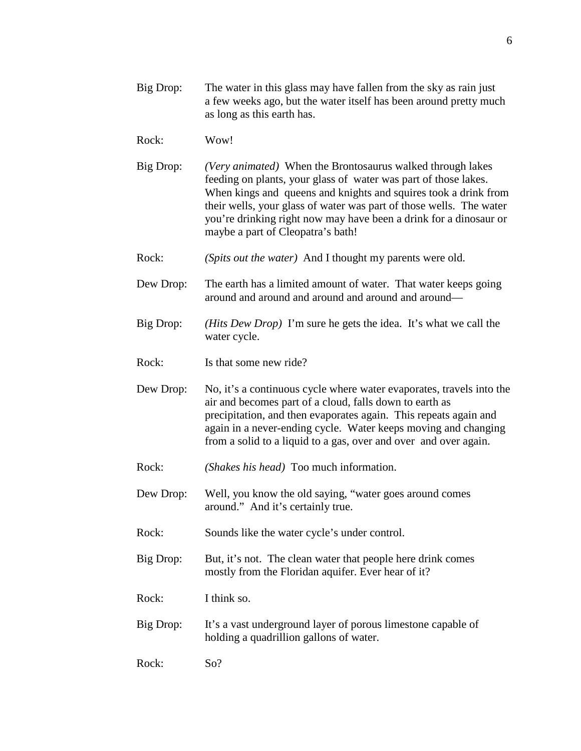- Big Drop: The water in this glass may have fallen from the sky as rain just a few weeks ago, but the water itself has been around pretty much as long as this earth has.
- Rock: Wow!
- Big Drop: *(Very animated)* When the Brontosaurus walked through lakes feeding on plants, your glass of water was part of those lakes. When kings and queens and knights and squires took a drink from their wells, your glass of water was part of those wells. The water you're drinking right now may have been a drink for a dinosaur or maybe a part of Cleopatra's bath!
- Rock: *(Spits out the water)* And I thought my parents were old.
- Dew Drop: The earth has a limited amount of water. That water keeps going around and around and around and around and around—
- Big Drop: *(Hits Dew Drop)* I'm sure he gets the idea. It's what we call the water cycle.
- Rock: Is that some new ride?
- Dew Drop: No, it's a continuous cycle where water evaporates, travels into the air and becomes part of a cloud, falls down to earth as precipitation, and then evaporates again. This repeats again and again in a never-ending cycle. Water keeps moving and changing from a solid to a liquid to a gas, over and over and over again.
- Rock: *(Shakes his head)* Too much information.
- Dew Drop: Well, you know the old saying, "water goes around comes around." And it's certainly true.
- Rock: Sounds like the water cycle's under control.
- Big Drop: But, it's not. The clean water that people here drink comes mostly from the Floridan aquifer. Ever hear of it?
- Rock: I think so.
- Big Drop: It's a vast underground layer of porous limestone capable of holding a quadrillion gallons of water.
- Rock: So?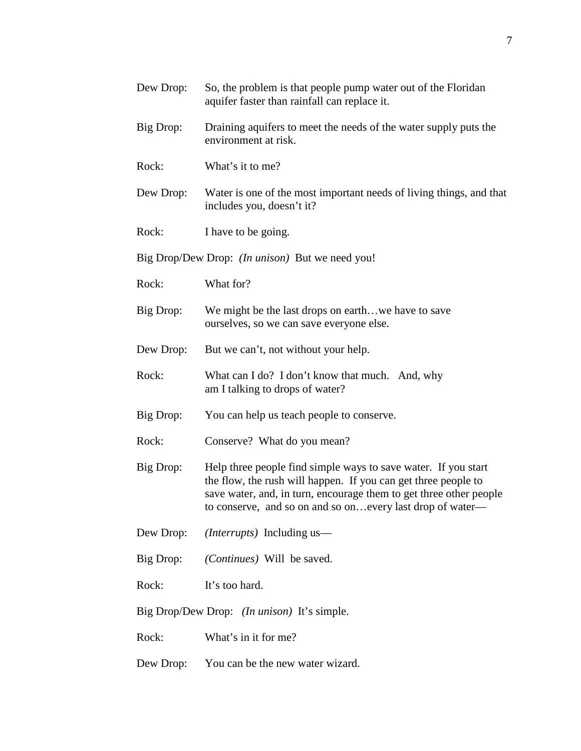| Dew Drop: | So, the problem is that people pump water out of the Floridan<br>aquifer faster than rainfall can replace it.                                                                                                                                                        |
|-----------|----------------------------------------------------------------------------------------------------------------------------------------------------------------------------------------------------------------------------------------------------------------------|
| Big Drop: | Draining aquifers to meet the needs of the water supply puts the<br>environment at risk.                                                                                                                                                                             |
| Rock:     | What's it to me?                                                                                                                                                                                                                                                     |
| Dew Drop: | Water is one of the most important needs of living things, and that<br>includes you, doesn't it?                                                                                                                                                                     |
| Rock:     | I have to be going.                                                                                                                                                                                                                                                  |
|           | Big Drop/Dew Drop: <i>(In unison)</i> But we need you!                                                                                                                                                                                                               |
| Rock:     | What for?                                                                                                                                                                                                                                                            |
| Big Drop: | We might be the last drops on earthwe have to save<br>ourselves, so we can save everyone else.                                                                                                                                                                       |
| Dew Drop: | But we can't, not without your help.                                                                                                                                                                                                                                 |
| Rock:     | What can I do? I don't know that much. And, why<br>am I talking to drops of water?                                                                                                                                                                                   |
| Big Drop: | You can help us teach people to conserve.                                                                                                                                                                                                                            |
| Rock:     | Conserve? What do you mean?                                                                                                                                                                                                                                          |
| Big Drop: | Help three people find simple ways to save water. If you start<br>the flow, the rush will happen. If you can get three people to<br>save water, and, in turn, encourage them to get three other people<br>to conserve, and so on and so on every last drop of water- |
| Dew Drop: | <i>(Interrupts)</i> Including us—                                                                                                                                                                                                                                    |
| Big Drop: | (Continues) Will be saved.                                                                                                                                                                                                                                           |
| Rock:     | It's too hard.                                                                                                                                                                                                                                                       |
|           | Big Drop/Dew Drop: <i>(In unison)</i> It's simple.                                                                                                                                                                                                                   |
| Rock:     | What's in it for me?                                                                                                                                                                                                                                                 |
| Dew Drop: | You can be the new water wizard.                                                                                                                                                                                                                                     |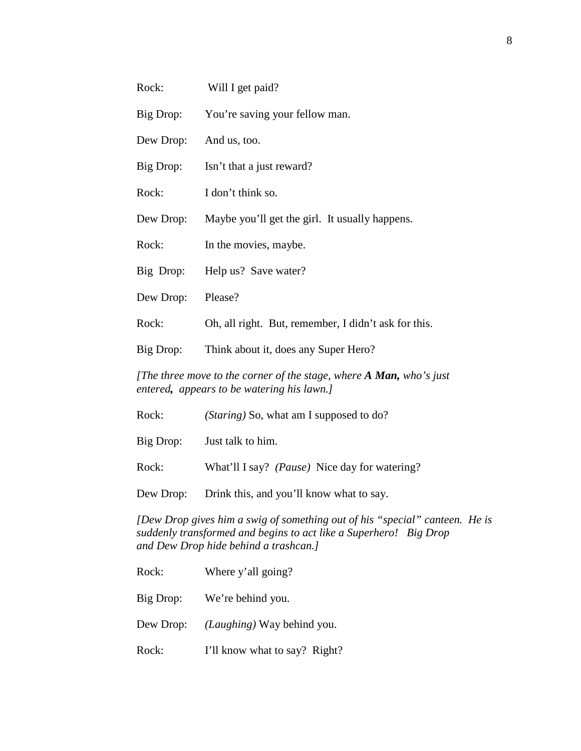| Rock:                                                                                                             | Will I get paid?                                     |
|-------------------------------------------------------------------------------------------------------------------|------------------------------------------------------|
| Big Drop:                                                                                                         | You're saving your fellow man.                       |
| Dew Drop:                                                                                                         | And us, too.                                         |
| Big Drop:                                                                                                         | Isn't that a just reward?                            |
| Rock:                                                                                                             | I don't think so.                                    |
| Dew Drop:                                                                                                         | Maybe you'll get the girl. It usually happens.       |
| Rock:                                                                                                             | In the movies, maybe.                                |
| Big Drop:                                                                                                         | Help us? Save water?                                 |
| Dew Drop:                                                                                                         | Please?                                              |
| Rock:                                                                                                             | Oh, all right. But, remember, I didn't ask for this. |
| Big Drop:                                                                                                         | Think about it, does any Super Hero?                 |
| [The three move to the corner of the stage, where A Man, who's just<br>entered, appears to be watering his lawn.] |                                                      |

| Rock:     | ( <i>Staring</i> ) So, what am I supposed to do?       |
|-----------|--------------------------------------------------------|
| Big Drop: | Just talk to him.                                      |
| Rock:     | What'll I say? ( <i>Pause</i> ) Nice day for watering? |
| Dew Drop: | Drink this, and you'll know what to say.               |

*[Dew Drop gives him a swig of something out of his "special" canteen. He is suddenly transformed and begins to act like a Superhero! Big Drop and Dew Drop hide behind a trashcan.]* 

| Rock:     | Where y'all going?                  |
|-----------|-------------------------------------|
|           | Big Drop: We're behind you.         |
| Dew Drop: | ( <i>Laughing</i> ) Way behind you. |
| Rock:     | I'll know what to say? Right?       |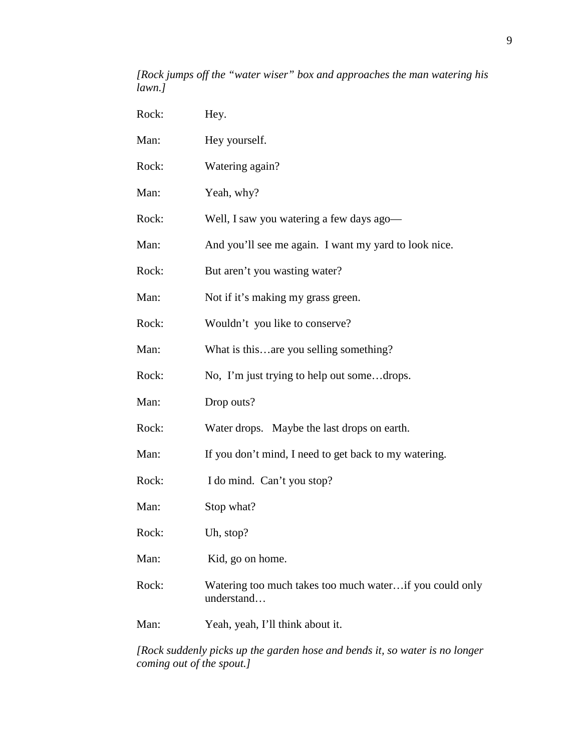## *[Rock jumps off the "water wiser" box and approaches the man watering his lawn.]*

| Rock: | Hey.                                                                  |
|-------|-----------------------------------------------------------------------|
| Man:  | Hey yourself.                                                         |
| Rock: | Watering again?                                                       |
| Man:  | Yeah, why?                                                            |
| Rock: | Well, I saw you watering a few days ago-                              |
| Man:  | And you'll see me again. I want my yard to look nice.                 |
| Rock: | But aren't you wasting water?                                         |
| Man:  | Not if it's making my grass green.                                    |
| Rock: | Wouldn't you like to conserve?                                        |
| Man:  | What is thisare you selling something?                                |
| Rock: | No, I'm just trying to help out somedrops.                            |
| Man:  | Drop outs?                                                            |
| Rock: | Water drops. Maybe the last drops on earth.                           |
| Man:  | If you don't mind, I need to get back to my watering.                 |
| Rock: | I do mind. Can't you stop?                                            |
| Man:  | Stop what?                                                            |
| Rock: | Uh, stop?                                                             |
| Man:  | Kid, go on home.                                                      |
| Rock: | Watering too much takes too much waterif you could only<br>understand |
| Man:  | Yeah, yeah, I'll think about it.                                      |
|       |                                                                       |

*[Rock suddenly picks up the garden hose and bends it, so water is no longer coming out of the spout.]*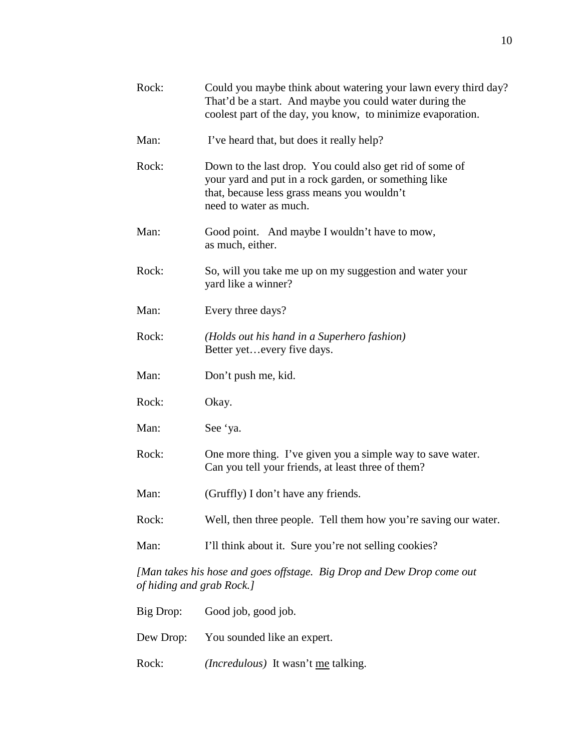| Rock:                     | Could you maybe think about watering your lawn every third day?<br>That'd be a start. And maybe you could water during the<br>coolest part of the day, you know, to minimize evaporation.  |
|---------------------------|--------------------------------------------------------------------------------------------------------------------------------------------------------------------------------------------|
| Man:                      | I've heard that, but does it really help?                                                                                                                                                  |
| Rock:                     | Down to the last drop. You could also get rid of some of<br>your yard and put in a rock garden, or something like<br>that, because less grass means you wouldn't<br>need to water as much. |
| Man:                      | Good point. And maybe I wouldn't have to mow,<br>as much, either.                                                                                                                          |
| Rock:                     | So, will you take me up on my suggestion and water your<br>yard like a winner?                                                                                                             |
| Man:                      | Every three days?                                                                                                                                                                          |
| Rock:                     | (Holds out his hand in a Superhero fashion)<br>Better yetevery five days.                                                                                                                  |
| Man:                      | Don't push me, kid.                                                                                                                                                                        |
| Rock:                     | Okay.                                                                                                                                                                                      |
| Man:                      | See 'ya.                                                                                                                                                                                   |
| Rock:                     | One more thing. I've given you a simple way to save water.<br>Can you tell your friends, at least three of them?                                                                           |
| Man:                      | (Gruffly) I don't have any friends.                                                                                                                                                        |
| Rock:                     | Well, then three people. Tell them how you're saving our water.                                                                                                                            |
| Man:                      | I'll think about it. Sure you're not selling cookies?                                                                                                                                      |
| of hiding and grab Rock.] | [Man takes his hose and goes offstage. Big Drop and Dew Drop come out                                                                                                                      |
| Big Drop:                 | Good job, good job.                                                                                                                                                                        |

Dew Drop: You sounded like an expert.

Rock: *(Incredulous)* It wasn't <u>me</u> talking.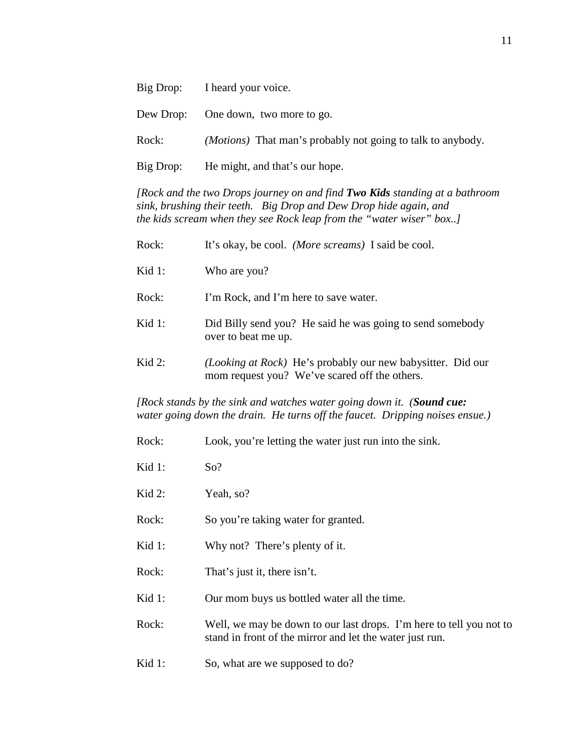|           | Big Drop: I heard your voice.                                      |
|-----------|--------------------------------------------------------------------|
|           | Dew Drop: One down, two more to go.                                |
| Rock:     | <i>(Motions)</i> That man's probably not going to talk to anybody. |
| Big Drop: | He might, and that's our hope.                                     |

*[Rock and the two Drops journey on and find Two Kids standing at a bathroom sink, brushing their teeth. Big Drop and Dew Drop hide again, and the kids scream when they see Rock leap from the "water wiser" box..]*

| Rock:     | It's okay, be cool. <i>(More screams)</i> I said be cool.                                                    |
|-----------|--------------------------------------------------------------------------------------------------------------|
| Kid $1$ : | Who are you?                                                                                                 |
| Rock:     | I'm Rock, and I'm here to save water.                                                                        |
| Kid $1$ : | Did Billy send you? He said he was going to send somebody<br>over to beat me up.                             |
| Kid $2$ : | (Looking at Rock) He's probably our new babysitter. Did our<br>mom request you? We've scared off the others. |

*[Rock stands by the sink and watches water going down it. (Sound cue: water going down the drain. He turns off the faucet. Dripping noises ensue.)*

| Rock:  | Look, you're letting the water just run into the sink.                                                                          |
|--------|---------------------------------------------------------------------------------------------------------------------------------|
| Kid 1: | So?                                                                                                                             |
| Kid 2: | Yeah, so?                                                                                                                       |
| Rock:  | So you're taking water for granted.                                                                                             |
| Kid 1: | Why not? There's plenty of it.                                                                                                  |
| Rock:  | That's just it, there isn't.                                                                                                    |
| Kid 1: | Our mom buys us bottled water all the time.                                                                                     |
| Rock:  | Well, we may be down to our last drops. I'm here to tell you not to<br>stand in front of the mirror and let the water just run. |
| Kid 1: | So, what are we supposed to do?                                                                                                 |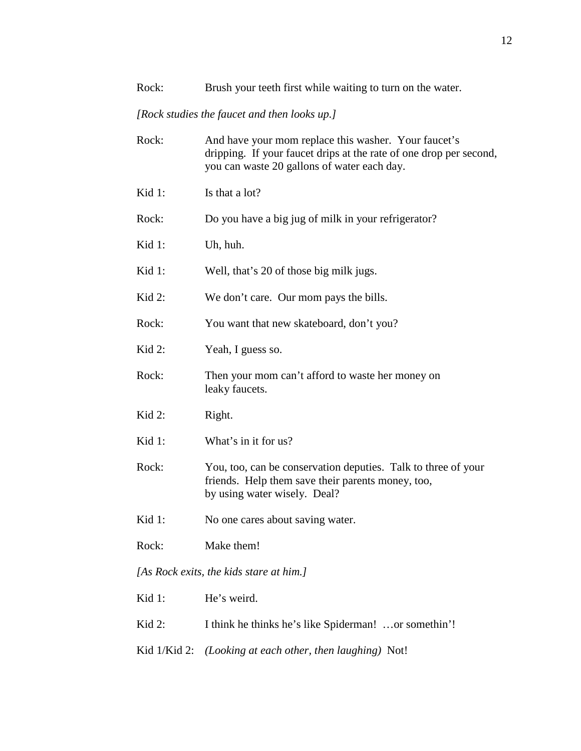#### *[Rock studies the faucet and then looks up.]*

| Rock:     | And have your mom replace this washer. Your faucet's<br>dripping. If your faucet drips at the rate of one drop per second,<br>you can waste 20 gallons of water each day. |
|-----------|---------------------------------------------------------------------------------------------------------------------------------------------------------------------------|
| Kid $1$ : | Is that a lot?                                                                                                                                                            |
| Rock:     | Do you have a big jug of milk in your refrigerator?                                                                                                                       |
| Kid 1:    | Uh, huh.                                                                                                                                                                  |
| Kid 1:    | Well, that's 20 of those big milk jugs.                                                                                                                                   |
| Kid 2:    | We don't care. Our mom pays the bills.                                                                                                                                    |
| Rock:     | You want that new skateboard, don't you?                                                                                                                                  |
| Kid $2$ : | Yeah, I guess so.                                                                                                                                                         |
| Rock:     | Then your mom can't afford to waste her money on<br>leaky faucets.                                                                                                        |
| Kid $2$ : | Right.                                                                                                                                                                    |
| Kid $1$ : | What's in it for us?                                                                                                                                                      |
| Rock:     | You, too, can be conservation deputies. Talk to three of your<br>friends. Help them save their parents money, too,<br>by using water wisely. Deal?                        |
| Kid 1:    | No one cares about saving water.                                                                                                                                          |
| Rock:     | Make them!                                                                                                                                                                |
|           | [As Rock exits, the kids stare at him.]                                                                                                                                   |
| Kid 1:    | He's weird.                                                                                                                                                               |

- Kid 2: I think he thinks he's like Spiderman! ...or somethin'!
- Kid 1/Kid 2: *(Looking at each other, then laughing)* Not!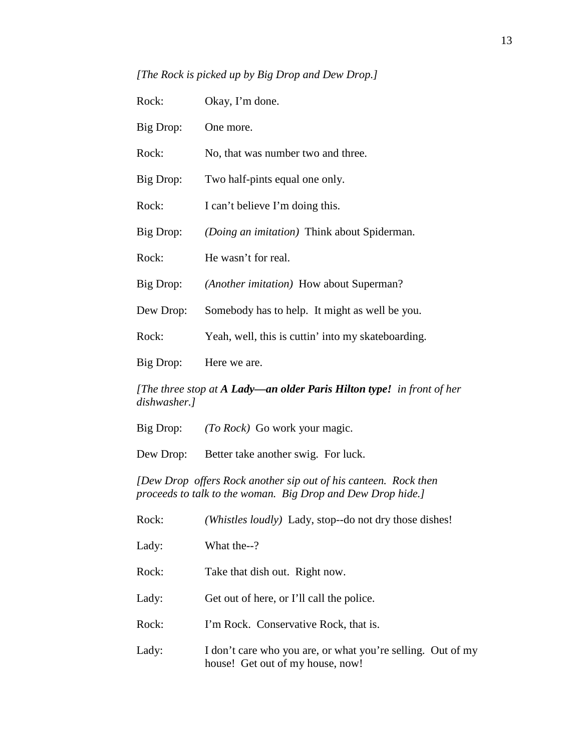*[The Rock is picked up by Big Drop and Dew Drop.]*

| Rock:                                                                                 | Okay, I'm done.                                                                                                                |  |
|---------------------------------------------------------------------------------------|--------------------------------------------------------------------------------------------------------------------------------|--|
| Big Drop:                                                                             | One more.                                                                                                                      |  |
| Rock:                                                                                 | No, that was number two and three.                                                                                             |  |
| Big Drop:                                                                             | Two half-pints equal one only.                                                                                                 |  |
| Rock:                                                                                 | I can't believe I'm doing this.                                                                                                |  |
| Big Drop:                                                                             | (Doing an imitation) Think about Spiderman.                                                                                    |  |
| Rock:                                                                                 | He wasn't for real.                                                                                                            |  |
| Big Drop:                                                                             | (Another imitation) How about Superman?                                                                                        |  |
| Dew Drop:                                                                             | Somebody has to help. It might as well be you.                                                                                 |  |
| Rock:                                                                                 | Yeah, well, this is cuttin' into my skateboarding.                                                                             |  |
| Big Drop:                                                                             | Here we are.                                                                                                                   |  |
| [The three stop at A Lady—an older Paris Hilton type! in front of her<br>dishwasher.] |                                                                                                                                |  |
| Big Drop:                                                                             | (To Rock) Go work your magic.                                                                                                  |  |
| Dew Drop:                                                                             | Better take another swig. For luck.                                                                                            |  |
|                                                                                       | [Dew Drop offers Rock another sip out of his canteen. Rock then<br>proceeds to talk to the woman. Big Drop and Dew Drop hide.] |  |
| Rock:                                                                                 | (Whistles loudly) Lady, stop--do not dry those dishes!                                                                         |  |

Lady: What the--?

Rock: Take that dish out. Right now.

Lady: Get out of here, or I'll call the police.

Rock: I'm Rock. Conservative Rock, that is.

Lady: I don't care who you are, or what you're selling. Out of my house! Get out of my house, now!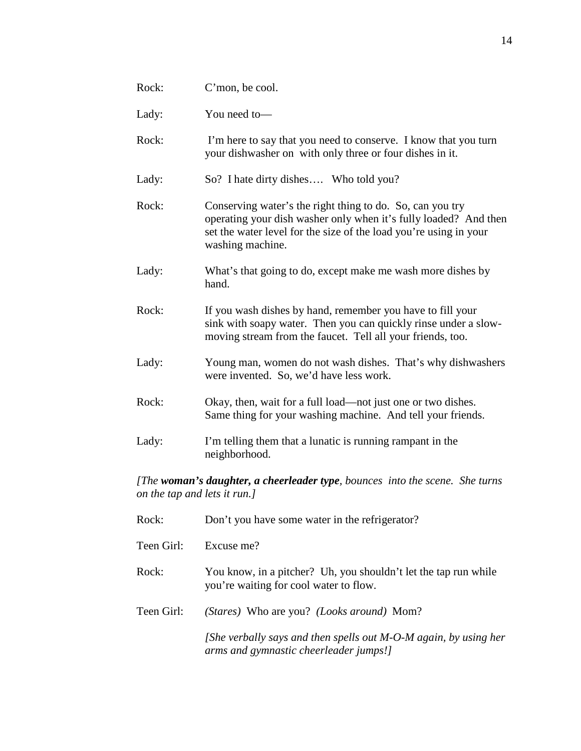| Rock:                                                                                                        | C'mon, be cool.                                                                                                                                                                                                        |  |
|--------------------------------------------------------------------------------------------------------------|------------------------------------------------------------------------------------------------------------------------------------------------------------------------------------------------------------------------|--|
| Lady:                                                                                                        | You need to-                                                                                                                                                                                                           |  |
| Rock:                                                                                                        | I'm here to say that you need to conserve. I know that you turn<br>your dishwasher on with only three or four dishes in it.                                                                                            |  |
| Lady:                                                                                                        | So? I hate dirty dishes Who told you?                                                                                                                                                                                  |  |
| Rock:                                                                                                        | Conserving water's the right thing to do. So, can you try<br>operating your dish washer only when it's fully loaded? And then<br>set the water level for the size of the load you're using in your<br>washing machine. |  |
| Lady:                                                                                                        | What's that going to do, except make me wash more dishes by<br>hand.                                                                                                                                                   |  |
| Rock:                                                                                                        | If you wash dishes by hand, remember you have to fill your<br>sink with soapy water. Then you can quickly rinse under a slow-<br>moving stream from the faucet. Tell all your friends, too.                            |  |
| Lady:                                                                                                        | Young man, women do not wash dishes. That's why dishwashers<br>were invented. So, we'd have less work.                                                                                                                 |  |
| Rock:                                                                                                        | Okay, then, wait for a full load—not just one or two dishes.<br>Same thing for your washing machine. And tell your friends.                                                                                            |  |
| Lady:                                                                                                        | I'm telling them that a lunatic is running rampant in the<br>neighborhood.                                                                                                                                             |  |
| [The woman's daughter, a cheerleader type, bounces into the scene. She turns<br>on the tap and lets it run.] |                                                                                                                                                                                                                        |  |

| Rock:      | Don't you have some water in the refrigerator?                                                                |
|------------|---------------------------------------------------------------------------------------------------------------|
| Teen Girl: | Excuse me?                                                                                                    |
| Rock:      | You know, in a pitcher? Uh, you shouldn't let the tap run while<br>you're waiting for cool water to flow.     |
| Teen Girl: | ( <i>Stares</i> ) Who are you? <i>(Looks around</i> ) Mom?                                                    |
|            | [She verbally says and then spells out $M$ -O-M again, by using her<br>arms and gymnastic cheerleader jumps!] |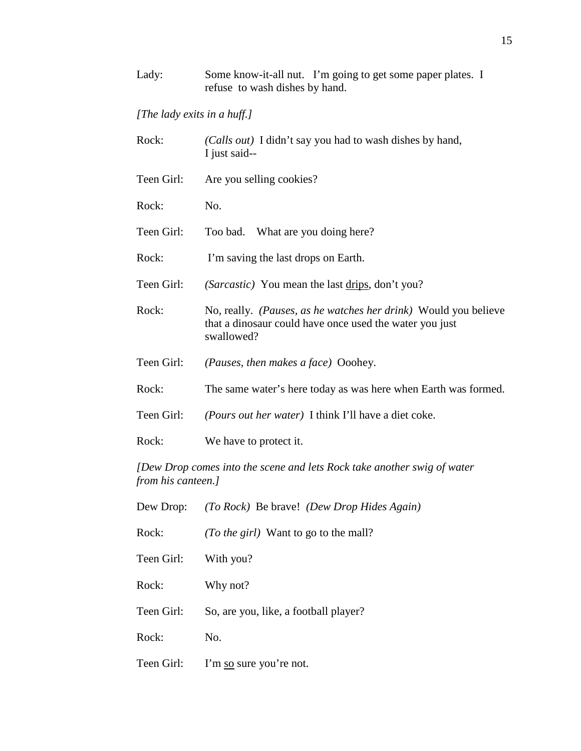## *[The lady exits in a huff.]*

| Rock:                                                                                         | (Calls out) I didn't say you had to wash dishes by hand,<br>I just said--                                                                |  |
|-----------------------------------------------------------------------------------------------|------------------------------------------------------------------------------------------------------------------------------------------|--|
| Teen Girl:                                                                                    | Are you selling cookies?                                                                                                                 |  |
| Rock:                                                                                         | No.                                                                                                                                      |  |
| Teen Girl:                                                                                    | Too bad. What are you doing here?                                                                                                        |  |
| Rock:                                                                                         | I'm saving the last drops on Earth.                                                                                                      |  |
| Teen Girl:                                                                                    | (Sarcastic) You mean the last drips, don't you?                                                                                          |  |
| Rock:                                                                                         | No, really. (Pauses, as he watches her drink) Would you believe<br>that a dinosaur could have once used the water you just<br>swallowed? |  |
| Teen Girl:                                                                                    | (Pauses, then makes a face) Ooohey.                                                                                                      |  |
| Rock:                                                                                         | The same water's here today as was here when Earth was formed.                                                                           |  |
| Teen Girl:                                                                                    | (Pours out her water) I think I'll have a diet coke.                                                                                     |  |
| Rock:                                                                                         | We have to protect it.                                                                                                                   |  |
| [Dew Drop comes into the scene and lets Rock take another swig of water<br>from his canteen.] |                                                                                                                                          |  |
| Dew Drop:                                                                                     | (To Rock) Be brave! (Dew Drop Hides Again)                                                                                               |  |
| Rock:                                                                                         | (To the girl) Want to go to the mall?                                                                                                    |  |
| Teen Girl:                                                                                    | With you?                                                                                                                                |  |
| Rock:                                                                                         | Why not?                                                                                                                                 |  |
| Teen Girl:                                                                                    | So, are you, like, a football player?                                                                                                    |  |

Rock: No.

Teen Girl: I'm so sure you're not.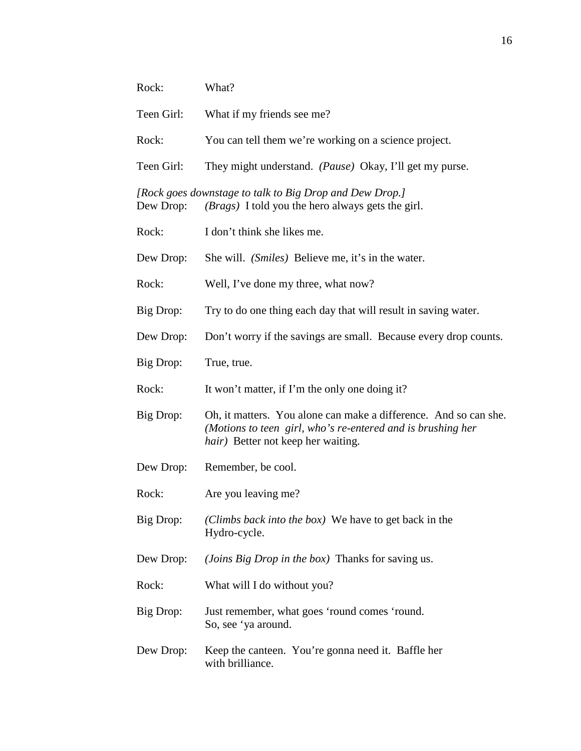| Rock:      | What?                                                                                                                                                                 |
|------------|-----------------------------------------------------------------------------------------------------------------------------------------------------------------------|
| Teen Girl: | What if my friends see me?                                                                                                                                            |
| Rock:      | You can tell them we're working on a science project.                                                                                                                 |
| Teen Girl: | They might understand. (Pause) Okay, I'll get my purse.                                                                                                               |
| Dew Drop:  | [Rock goes downstage to talk to Big Drop and Dew Drop.]<br>( <i>Brags</i> ) I told you the hero always gets the girl.                                                 |
| Rock:      | I don't think she likes me.                                                                                                                                           |
| Dew Drop:  | She will. (Smiles) Believe me, it's in the water.                                                                                                                     |
| Rock:      | Well, I've done my three, what now?                                                                                                                                   |
| Big Drop:  | Try to do one thing each day that will result in saving water.                                                                                                        |
| Dew Drop:  | Don't worry if the savings are small. Because every drop counts.                                                                                                      |
| Big Drop:  | True, true.                                                                                                                                                           |
| Rock:      | It won't matter, if I'm the only one doing it?                                                                                                                        |
| Big Drop:  | Oh, it matters. You alone can make a difference. And so can she.<br>(Motions to teen girl, who's re-entered and is brushing her<br>hair) Better not keep her waiting. |
| Dew Drop:  | Remember, be cool.                                                                                                                                                    |
| Rock:      | Are you leaving me?                                                                                                                                                   |
| Big Drop:  | (Climbs back into the box) We have to get back in the<br>Hydro-cycle.                                                                                                 |
| Dew Drop:  | (Joins Big Drop in the box) Thanks for saving us.                                                                                                                     |
| Rock:      | What will I do without you?                                                                                                                                           |
| Big Drop:  | Just remember, what goes 'round comes 'round.<br>So, see 'ya around.                                                                                                  |
| Dew Drop:  | Keep the canteen. You're gonna need it. Baffle her<br>with brilliance.                                                                                                |